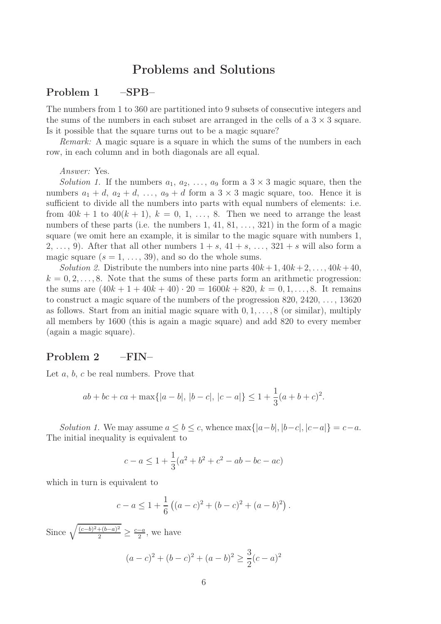# Problems and Solutions

### Problem 1 –SPB–

The numbers from 1 to 360 are partitioned into 9 subsets of consecutive integers and the sums of the numbers in each subset are arranged in the cells of a  $3 \times 3$  square. Is it possible that the square turns out to be a magic square?

*Remark:* A magic square is a square in which the sums of the numbers in each row, in each column and in both diagonals are all equal.

*Answer:* Yes.

*Solution 1.* If the numbers  $a_1, a_2, \ldots, a_9$  form a  $3 \times 3$  magic square, then the numbers  $a_1 + d$ ,  $a_2 + d$ , ...,  $a_9 + d$  form a  $3 \times 3$  magic square, too. Hence it is sufficient to divide all the numbers into parts with equal numbers of elements: i.e. from  $40k + 1$  to  $40(k + 1)$ ,  $k = 0, 1, \ldots, 8$ . Then we need to arrange the least numbers of these parts (i.e. the numbers  $1, 41, 81, \ldots, 321$ ) in the form of a magic square (we omit here an example, it is similar to the magic square with numbers 1, 2, ..., 9). After that all other numbers  $1 + s$ ,  $41 + s$ , ...,  $321 + s$  will also form a magic square  $(s = 1, \ldots, 39)$ , and so do the whole sums.

*Solution 2.* Distribute the numbers into nine parts  $40k+1$ ,  $40k+2$ , ...,  $40k+40$ ,  $k = 0, 2, \ldots, 8$ . Note that the sums of these parts form an arithmetic progression: the sums are  $(40k + 1 + 40k + 40) \cdot 20 = 1600k + 820, k = 0, 1, \ldots, 8$ . It remains to construct a magic square of the numbers of the progression  $820, 2420, \ldots, 13620$ as follows. Start from an initial magic square with  $0, 1, \ldots, 8$  (or similar), multiply all members by 1600 (this is again a magic square) and add 820 to every member (again a magic square).

### Problem 2 –FIN–

Let  $a, b, c$  be real numbers. Prove that

$$
ab + bc + ca + \max\{|a - b|, |b - c|, |c - a|\} \le 1 + \frac{1}{3}(a + b + c)^2.
$$

*Solution 1.* We may assume  $a \leq b \leq c$ , whence max $\{|a-b|, |b-c|, |c-a|\} = c-a$ . The initial inequality is equivalent to

$$
c - a \le 1 + \frac{1}{3}(a^2 + b^2 + c^2 - ab - bc - ac)
$$

which in turn is equivalent to

$$
c - a \le 1 + \frac{1}{6} \left( (a - c)^2 + (b - c)^2 + (a - b)^2 \right).
$$

Since  $\sqrt{\frac{(c-b)^2+(b-a)^2}{2}}$  $\frac{+(b-a)^2}{2} \geq \frac{c-a}{2}$ , we have

$$
(a-c)2 + (b-c)2 + (a-b)2 \ge \frac{3}{2}(c-a)2
$$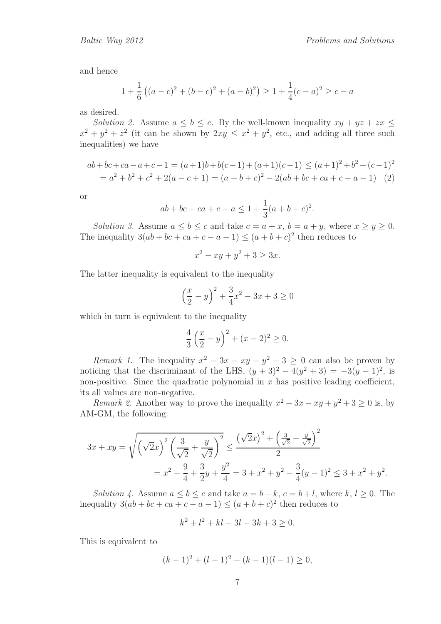and hence

$$
1 + \frac{1}{6} ((a - c)^2 + (b - c)^2 + (a - b)^2) \ge 1 + \frac{1}{4}(c - a)^2 \ge c - a
$$

as desired.

*Solution 2.* Assume  $a \leq b \leq c$ . By the well-known inequality  $xy + yz + zx \leq$  $x^2 + y^2 + z^2$  (it can be shown by  $2xy \leq x^2 + y^2$ , etc., and adding all three such inequalities) we have

$$
ab+bc+ca-a+c-1 = (a+1)b+b(c-1)+(a+1)(c-1) \le (a+1)^2+b^2+(c-1)^2
$$
  
=  $a^2+b^2+c^2+2(a-c+1) = (a+b+c)^2-2(ab+bc+ca+c-a-1)$  (2)

or

$$
ab + bc + ca + c - a \le 1 + \frac{1}{3}(a + b + c)^2.
$$

*Solution 3.* Assume  $a \leq b \leq c$  and take  $c = a + x$ ,  $b = a + y$ , where  $x \geq y \geq 0$ . The inequality  $3(ab + bc + ca + c - a - 1) \leq (a + b + c)^2$  then reduces to

$$
x^2 - xy + y^2 + 3 \ge 3x.
$$

The latter inequality is equivalent to the inequality

$$
\left(\frac{x}{2} - y\right)^2 + \frac{3}{4}x^2 - 3x + 3 \ge 0
$$

which in turn is equivalent to the inequality

$$
\frac{4}{3}\left(\frac{x}{2} - y\right)^2 + (x - 2)^2 \ge 0.
$$

*Remark 1.* The inequality  $x^2 - 3x - xy + y^2 + 3 \ge 0$  can also be proven by noticing that the discriminant of the LHS,  $(y + 3)^2 - 4(y^2 + 3) = -3(y - 1)^2$ , is non-positive. Since the quadratic polynomial in  $x$  has positive leading coefficient, its all values are non-negative.

*Remark 2.* Another way to prove the inequality  $x^2 - 3x - xy + y^2 + 3 \ge 0$  is, by AM-GM, the following:

$$
3x + xy = \sqrt{\left(\sqrt{2}x\right)^2 \left(\frac{3}{\sqrt{2}} + \frac{y}{\sqrt{2}}\right)^2} \le \frac{\left(\sqrt{2}x\right)^2 + \left(\frac{3}{\sqrt{2}} + \frac{y}{\sqrt{2}}\right)^2}{2}
$$
  
=  $x^2 + \frac{9}{4} + \frac{3}{2}y + \frac{y^2}{4} = 3 + x^2 + y^2 - \frac{3}{4}(y - 1)^2 \le 3 + x^2 + y^2$ .

*Solution 4.* Assume  $a \leq b \leq c$  and take  $a = b - k$ ,  $c = b + l$ , where  $k, l \geq 0$ . The inequality  $3(ab + bc + ca + c - a - 1) \leq (a + b + c)^2$  then reduces to

$$
k^2 + l^2 + kl - 3l - 3k + 3 \ge 0.
$$

This is equivalent to

$$
(k-1)^{2} + (l-1)^{2} + (k-1)(l-1) \ge 0,
$$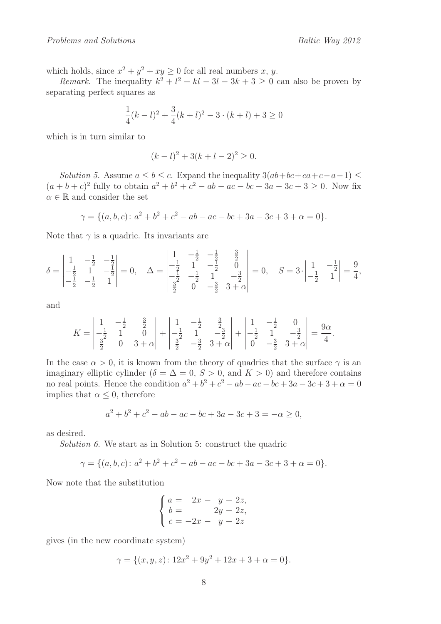which holds, since  $x^2 + y^2 + xy \ge 0$  for all real numbers x, y.

*Remark.* The inequality  $k^2 + l^2 + kl - 3l - 3k + 3 \geq 0$  can also be proven by separating perfect squares as

$$
\frac{1}{4}(k-l)^2 + \frac{3}{4}(k+l)^2 - 3 \cdot (k+l) + 3 \ge 0
$$

which is in turn similar to

$$
(k-l)^2 + 3(k+l-2)^2 \ge 0.
$$

*Solution 5.* Assume  $a \leq b \leq c$ . Expand the inequality  $3(ab + bc + ca + c - a - 1) \leq$  $(a + b + c)^2$  fully to obtain  $a^2 + b^2 + c^2 - ab - ac - bc + 3a - 3c + 3 \ge 0$ . Now fix  $\alpha \in \mathbb{R}$  and consider the set

$$
\gamma = \{ (a, b, c) \colon a^2 + b^2 + c^2 - ab - ac - bc + 3a - 3c + 3 + \alpha = 0 \}.
$$

Note that  $\gamma$  is a quadric. Its invariants are

$$
\delta = \begin{vmatrix} 1 & -\frac{1}{2} & -\frac{1}{2} \\ -\frac{1}{2} & 1 & -\frac{1}{2} \\ -\frac{1}{2} & -\frac{1}{2} & 1 \end{vmatrix} = 0, \quad \Delta = \begin{vmatrix} 1 & -\frac{1}{2} & -\frac{1}{2} & \frac{3}{2} \\ -\frac{1}{2} & 1 & -\frac{1}{2} & 0 \\ -\frac{1}{2} & -\frac{1}{2} & 1 & -\frac{3}{2} \\ \frac{3}{2} & 0 & -\frac{3}{2} & 3 + \alpha \end{vmatrix} = 0, \quad S = 3 \cdot \begin{vmatrix} 1 & -\frac{1}{2} \\ -\frac{1}{2} & 1 \end{vmatrix} = \frac{9}{4},
$$

and

$$
K = \begin{vmatrix} 1 & -\frac{1}{2} & \frac{3}{2} \\ -\frac{1}{2} & 1 & 0 \\ \frac{3}{2} & 0 & 3+\alpha \end{vmatrix} + \begin{vmatrix} 1 & -\frac{1}{2} & \frac{3}{2} \\ -\frac{1}{2} & 1 & -\frac{3}{2} \\ \frac{3}{2} & -\frac{3}{2} & 3+\alpha \end{vmatrix} + \begin{vmatrix} 1 & -\frac{1}{2} & 0 \\ -\frac{1}{2} & 1 & -\frac{3}{2} \\ 0 & -\frac{3}{2} & 3+\alpha \end{vmatrix} = \frac{9\alpha}{4}.
$$

In the case  $\alpha > 0$ , it is known from the theory of quadrics that the surface  $\gamma$  is an imaginary elliptic cylinder ( $\delta = \Delta = 0$ ,  $S > 0$ , and  $K > 0$ ) and therefore contains no real points. Hence the condition  $a^2 + b^2 + c^2 - ab - ac - bc + 3a - 3c + 3 + \alpha = 0$ implies that  $\alpha \leq 0$ , therefore

$$
a^2 + b^2 + c^2 - ab - ac - bc + 3a - 3c + 3 = -\alpha \ge 0,
$$

as desired.

*Solution 6.* We start as in Solution 5: construct the quadric

$$
\gamma = \{ (a, b, c) \colon a^2 + b^2 + c^2 - ab - ac - bc + 3a - 3c + 3 + \alpha = 0 \}.
$$

Now note that the substitution

$$
\begin{cases}\na = 2x - y + 2z, \\
b = 2y + 2z, \\
c = -2x - y + 2z\n\end{cases}
$$

gives (in the new coordinate system)

$$
\gamma = \{ (x, y, z) \colon 12x^2 + 9y^2 + 12x + 3 + \alpha = 0 \}.
$$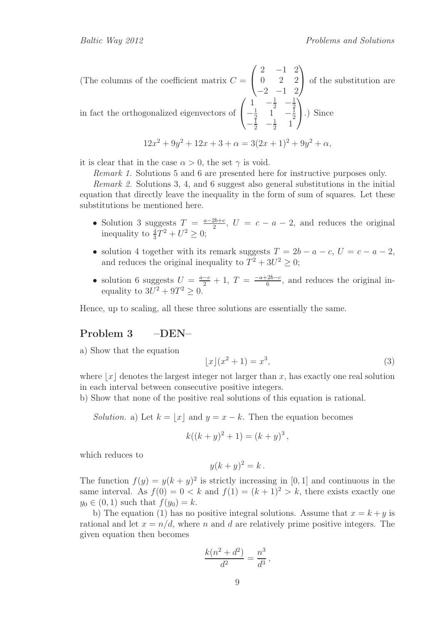(The columns of the coefficient matrix  $C =$  $\sqrt{ }$  $\overline{1}$  $2 -1 2$ 0 2 2  $-2$   $-1$  2  $\setminus$  of the substitution are in fact the orthogonalized eigenvectors of  $\sqrt{ }$  $\overline{1}$  $1 - \frac{1}{2} - \frac{1}{2}$ 2  $-\frac{1}{2}$  $\frac{1}{2}$  1  $-\frac{1}{2}$ 2  $-\frac{1}{2}$   $-\frac{1}{2}$  $\frac{1}{2}$  1  $\setminus$ .) Since

$$
12x^2 + 9y^2 + 12x + 3 + \alpha = 3(2x + 1)^2 + 9y^2 + \alpha,
$$

it is clear that in the case  $\alpha > 0$ , the set  $\gamma$  is void.

*Remark 1.* Solutions 5 and 6 are presented here for instructive purposes only.

*Remark 2.* Solutions 3, 4, and 6 suggest also general substitutions in the initial equation that directly leave the inequality in the form of sum of squares. Let these substitutions be mentioned here.

- Solution 3 suggests  $T = \frac{a-2b+c}{2}$ ,  $U = c-a-2$ , and reduces the original inequality to  $\frac{4}{3}T^2 + U^2 \geq 0$ ;
- solution 4 together with its remark suggests  $T = 2b a c$ ,  $U = c a 2$ , and reduces the original inequality to  $T^2 + 3U^2 \geq 0$ ;
- solution 6 suggests  $U = \frac{a-c}{2} + 1$ ,  $T = \frac{-a+2b-c}{6}$ , and reduces the original inequality to  $3U^2 + 9T^2 \geq 0$ .

Hence, up to scaling, all these three solutions are essentially the same.

#### Problem 3 –DEN–

a) Show that the equation

$$
\lfloor x \rfloor (x^2 + 1) = x^3,\tag{3}
$$

where  $x \mid x$  denotes the largest integer not larger than x, has exactly one real solution in each interval between consecutive positive integers.

b) Show that none of the positive real solutions of this equation is rational.

*Solution.* a) Let  $k = \lfloor x \rfloor$  and  $y = x - k$ . Then the equation becomes

$$
k((k+y)^2 + 1) = (k+y)^3,
$$

which reduces to

$$
y(k+y)^2 = k.
$$

The function  $f(y) = y(k + y)^2$  is strictly increasing in [0, 1] and continuous in the same interval. As  $f(0) = 0 < k$  and  $f(1) = (k+1)^2 > k$ , there exists exactly one  $y_0 \in (0, 1)$  such that  $f(y_0) = k$ .

b) The equation (1) has no positive integral solutions. Assume that  $x = k + y$  is rational and let  $x = n/d$ , where n and d are relatively prime positive integers. The given equation then becomes

$$
\frac{k(n^2 + d^2)}{d^2} = \frac{n^3}{d^3},
$$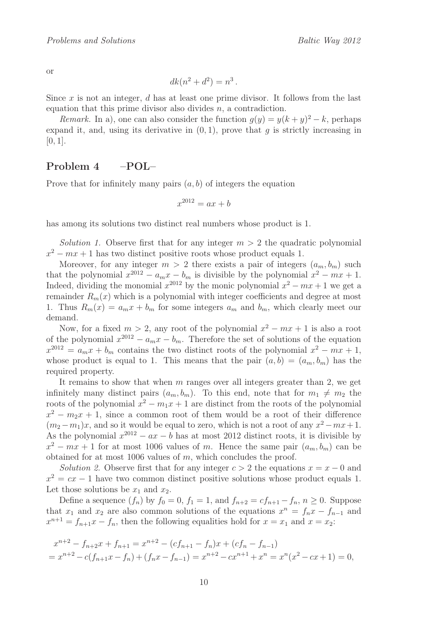or

$$
dk(n^2 + d^2) = n^3.
$$

Since  $x$  is not an integer,  $d$  has at least one prime divisor. It follows from the last equation that this prime divisor also divides  $n$ , a contradiction.

*Remark.* In a), one can also consider the function  $g(y) = y(k+y)^2 - k$ , perhaps expand it, and, using its derivative in  $(0, 1)$ , prove that q is strictly increasing in  $[0, 1].$ 

### Problem 4 –POL–

Prove that for infinitely many pairs  $(a, b)$  of integers the equation

$$
x^{2012} = ax + b
$$

has among its solutions two distinct real numbers whose product is 1.

*Solution 1.* Observe first that for any integer  $m > 2$  the quadratic polynomial  $x^2 - mx + 1$  has two distinct positive roots whose product equals 1.

Moreover, for any integer  $m > 2$  there exists a pair of integers  $(a_m, b_m)$  such that the polynomial  $x^{2012} - a_m x - b_m$  is divisible by the polynomial  $x^2 - mx + 1$ . Indeed, dividing the monomial  $x^{2012}$  by the monic polynomial  $x^2 - mx + 1$  we get a remainder  $R_m(x)$  which is a polynomial with integer coefficients and degree at most 1. Thus  $R_m(x) = a_m x + b_m$  for some integers  $a_m$  and  $b_m$ , which clearly meet our demand.

Now, for a fixed  $m > 2$ , any root of the polynomial  $x^2 - mx + 1$  is also a root of the polynomial  $x^{2012} - a_m x - b_m$ . Therefore the set of solutions of the equation  $x^{2012} = a_m x + b_m$  contains the two distinct roots of the polynomial  $x^2 - mx + 1$ , whose product is equal to 1. This means that the pair  $(a, b) = (a_m, b_m)$  has the required property.

It remains to show that when  $m$  ranges over all integers greater than 2, we get infinitely many distinct pairs  $(a_m, b_m)$ . To this end, note that for  $m_1 \neq m_2$  the roots of the polynomial  $x^2 - m_1x + 1$  are distinct from the roots of the polynomial  $x^2 - m_2x + 1$ , since a common root of them would be a root of their difference  $(m_2 - m_1)x$ , and so it would be equal to zero, which is not a root of any  $x^2 - mx + 1$ . As the polynomial  $x^{2012} - ax - b$  has at most 2012 distinct roots, it is divisible by  $x^2 - mx + 1$  for at most 1006 values of m. Hence the same pair  $(a_m, b_m)$  can be obtained for at most 1006 values of  $m$ , which concludes the proof.

*Solution 2.* Observe first that for any integer  $c > 2$  the equations  $x = x - 0$  and  $x^2 = cx - 1$  have two common distinct positive solutions whose product equals 1. Let those solutions be  $x_1$  and  $x_2$ .

Define a sequence  $(f_n)$  by  $f_0 = 0$ ,  $f_1 = 1$ , and  $f_{n+2} = cf_{n+1} - f_n$ ,  $n \ge 0$ . Suppose that  $x_1$  and  $x_2$  are also common solutions of the equations  $x^n = f_n x - f_{n-1}$  and  $x^{n+1} = f_{n+1}x - f_n$ , then the following equalities hold for  $x = x_1$  and  $x = x_2$ :

$$
x^{n+2} - f_{n+2}x + f_{n+1} = x^{n+2} - (cf_{n+1} - f_n)x + (cf_n - f_{n-1})
$$
  
=  $x^{n+2} - c(f_{n+1}x - f_n) + (f_nx - f_{n-1}) = x^{n+2} - cx^{n+1} + x^n = x^n(x^2 - cx + 1) = 0,$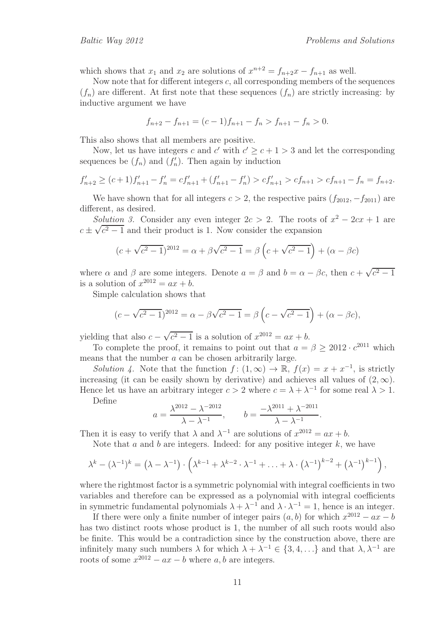which shows that  $x_1$  and  $x_2$  are solutions of  $x^{n+2} = f_{n+2}x - f_{n+1}$  as well.

Now note that for different integers  $c$ , all corresponding members of the sequences  $(f_n)$  are different. At first note that these sequences  $(f_n)$  are strictly increasing: by inductive argument we have

$$
f_{n+2} - f_{n+1} = (c-1)f_{n+1} - f_n > f_{n+1} - f_n > 0.
$$

This also shows that all members are positive.

Now, let us have integers c and c' with  $c' \geq c + 1 > 3$  and let the corresponding sequences be  $(f_n)$  and  $(f'_n)$ . Then again by induction

$$
f'_{n+2} \ge (c+1)f'_{n+1} - f'_{n} = cf'_{n+1} + (f'_{n+1} - f'_{n}) > cf'_{n+1} > cf_{n+1} > cf_{n+1} - f_{n} = f_{n+2}.
$$

We have shown that for all integers  $c > 2$ , the respective pairs  $(f_{2012}, -f_{2011})$  are different, as desired.

*Solution 3.* Consider any even integer  $2c > 2$ . The roots of  $x^2 - 2cx + 1$  are  $c \pm \sqrt{c^2 - 1}$  and their product is 1. Now consider the expansion

$$
(c + \sqrt{c^2 - 1})^{2012} = \alpha + \beta\sqrt{c^2 - 1} = \beta\left(c + \sqrt{c^2 - 1}\right) + (\alpha - \beta c)
$$

where  $\alpha$  and  $\beta$  are some integers. Denote  $a = \beta$  and  $b = \alpha - \beta c$ , then  $c + \sqrt{c^2 - 1}$ is a solution of  $x^{2012} = ax + b$ .

Simple calculation shows that

$$
(c - \sqrt{c^2 - 1})^{2012} = \alpha - \beta\sqrt{c^2 - 1} = \beta\left(c - \sqrt{c^2 - 1}\right) + (\alpha - \beta c),
$$

yielding that also  $c - \sqrt{c^2 - 1}$  is a solution of  $x^{2012} = ax + b$ .

To complete the proof, it remains to point out that  $a = \beta \geq 2012 \cdot c^{2011}$  which means that the number a can be chosen arbitrarily large.

*Solution 4*. Note that the function  $f : (1, \infty) \to \mathbb{R}$ ,  $f(x) = x + x^{-1}$ , is strictly increasing (it can be easily shown by derivative) and achieves all values of  $(2, \infty)$ . Hence let us have an arbitrary integer  $c > 2$  where  $c = \lambda + \lambda^{-1}$  for some real  $\lambda > 1$ .

Define

$$
a = \frac{\lambda^{2012} - \lambda^{-2012}}{\lambda - \lambda^{-1}}, \qquad b = \frac{-\lambda^{2011} + \lambda^{-2011}}{\lambda - \lambda^{-1}}
$$

.

Then it is easy to verify that  $\lambda$  and  $\lambda^{-1}$  are solutions of  $x^{2012} = ax + b$ .

Note that  $a$  and  $b$  are integers. Indeed: for any positive integer  $k$ , we have

$$
\lambda^{k}-(\lambda^{-1})^{k}=\left(\lambda-\lambda^{-1}\right)\cdot\left(\lambda^{k-1}+\lambda^{k-2}\cdot\lambda^{-1}+\ldots+\lambda\cdot\left(\lambda^{-1}\right)^{k-2}+\left(\lambda^{-1}\right)^{k-1}\right),
$$

where the rightmost factor is a symmetric polynomial with integral coefficients in two variables and therefore can be expressed as a polynomial with integral coefficients in symmetric fundamental polynomials  $\lambda + \lambda^{-1}$  and  $\lambda \cdot \lambda^{-1} = 1$ , hence is an integer.

If there were only a finite number of integer pairs  $(a, b)$  for which  $x^{2012} - ax - b$ has two distinct roots whose product is 1, the number of all such roots would also be finite. This would be a contradiction since by the construction above, there are infinitely many such numbers  $\lambda$  for which  $\lambda + \lambda^{-1} \in \{3, 4, ...\}$  and that  $\lambda, \lambda^{-1}$  are roots of some  $x^{2012} - ax - b$  where a, b are integers.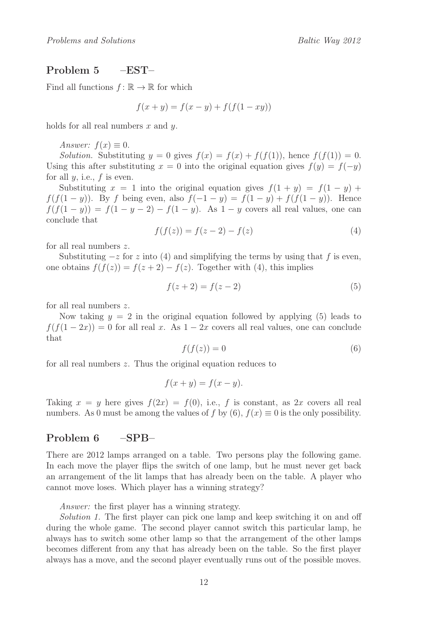### Problem 5 –EST–

Find all functions  $f: \mathbb{R} \to \mathbb{R}$  for which

$$
f(x + y) = f(x - y) + f(f(1 - xy))
$$

holds for all real numbers  $x$  and  $y$ .

*Answer:*  $f(x) \equiv 0$ .

*Solution.* Substituting  $y = 0$  gives  $f(x) = f(x) + f(f(1))$ , hence  $f(f(1)) = 0$ . Using this after substituting  $x = 0$  into the original equation gives  $f(y) = f(-y)$ for all  $y$ , i.e.,  $f$  is even.

Substituting  $x = 1$  into the original equation gives  $f(1 + y) = f(1 - y) +$ f(f(1 − y)). By f being even, also  $f(-1 - y) = f(1 - y) + f(f(1 - y))$ . Hence  $f(f(1-y)) = f(1-y-2) - f(1-y)$ . As  $1-y$  covers all real values, one can conclude that

$$
f(f(z)) = f(z - 2) - f(z)
$$
 (4)

for all real numbers z.

Substituting  $-z$  for z into (4) and simplifying the terms by using that f is even, one obtains  $f(f(z)) = f(z+2) - f(z)$ . Together with (4), this implies

$$
f(z+2) = f(z-2)
$$
\n<sup>(5)</sup>

for all real numbers z.

Now taking  $y = 2$  in the original equation followed by applying (5) leads to  $f(f(1-2x)) = 0$  for all real x. As  $1-2x$  covers all real values, one can conclude that

$$
f(f(z)) = 0 \tag{6}
$$

for all real numbers z. Thus the original equation reduces to

$$
f(x+y) = f(x-y).
$$

Taking  $x = y$  here gives  $f(2x) = f(0)$ , i.e., f is constant, as  $2x$  covers all real numbers. As 0 must be among the values of f by  $(6)$ ,  $f(x) \equiv 0$  is the only possibility.

### Problem 6 –SPB–

There are 2012 lamps arranged on a table. Two persons play the following game. In each move the player flips the switch of one lamp, but he must never get back an arrangement of the lit lamps that has already been on the table. A player who cannot move loses. Which player has a winning strategy?

*Answer:* the first player has a winning strategy.

*Solution 1.* The first player can pick one lamp and keep switching it on and off during the whole game. The second player cannot switch this particular lamp, he always has to switch some other lamp so that the arrangement of the other lamps becomes different from any that has already been on the table. So the first player always has a move, and the second player eventually runs out of the possible moves.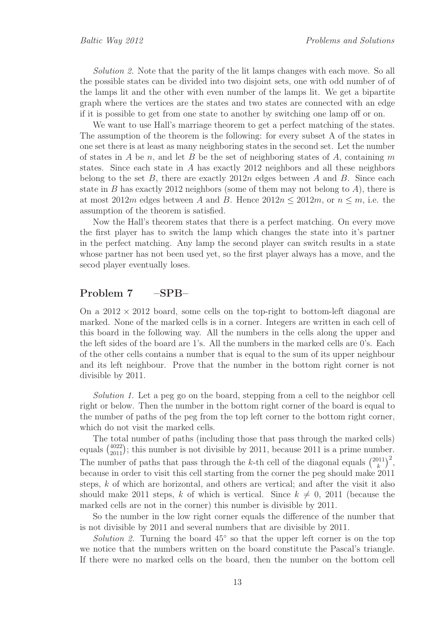*Solution 2.* Note that the parity of the lit lamps changes with each move. So all the possible states can be divided into two disjoint sets, one with odd number of of the lamps lit and the other with even number of the lamps lit. We get a bipartite graph where the vertices are the states and two states are connected with an edge if it is possible to get from one state to another by switching one lamp off or on.

We want to use Hall's marriage theorem to get a perfect matching of the states. The assumption of the theorem is the following: for every subset A of the states in one set there is at least as many neighboring states in the second set. Let the number of states in A be n, and let B be the set of neighboring states of A, containing m states. Since each state in A has exactly 2012 neighbors and all these neighbors belong to the set B, there are exactly  $2012n$  edges between A and B. Since each state in B has exactly 2012 neighbors (some of them may not belong to  $A$ ), there is at most 2012m edges between A and B. Hence  $2012n \le 2012m$ , or  $n \le m$ , i.e. the assumption of the theorem is satisfied.

Now the Hall's theorem states that there is a perfect matching. On every move the first player has to switch the lamp which changes the state into it's partner in the perfect matching. Any lamp the second player can switch results in a state whose partner has not been used yet, so the first player always has a move, and the secod player eventually loses.

#### Problem 7 –SPB–

On a  $2012 \times 2012$  board, some cells on the top-right to bottom-left diagonal are marked. None of the marked cells is in a corner. Integers are written in each cell of this board in the following way. All the numbers in the cells along the upper and the left sides of the board are 1's. All the numbers in the marked cells are 0's. Each of the other cells contains a number that is equal to the sum of its upper neighbour and its left neighbour. Prove that the number in the bottom right corner is not divisible by 2011.

*Solution 1.* Let a peg go on the board, stepping from a cell to the neighbor cell right or below. Then the number in the bottom right corner of the board is equal to the number of paths of the peg from the top left corner to the bottom right corner, which do not visit the marked cells.

The total number of paths (including those that pass through the marked cells) equals  $\binom{4022}{2011}$  $^{4022}_{2011}$ ; this number is not divisible by 2011, because 2011 is a prime number. The number of paths that pass through the k-th cell of the diagonal equals  $\binom{2011}{k}$  $\binom{11}{k}^2$ because in order to visit this cell starting from the corner the peg should make 2011 steps, k of which are horizontal, and others are vertical; and after the visit it also should make 2011 steps, k of which is vertical. Since  $k \neq 0$ , 2011 (because the marked cells are not in the corner) this number is divisible by 2011.

So the number in the low right corner equals the difference of the number that is not divisible by 2011 and several numbers that are divisible by 2011.

*Solution 2.* Turning the board 45◦ so that the upper left corner is on the top we notice that the numbers written on the board constitute the Pascal's triangle. If there were no marked cells on the board, then the number on the bottom cell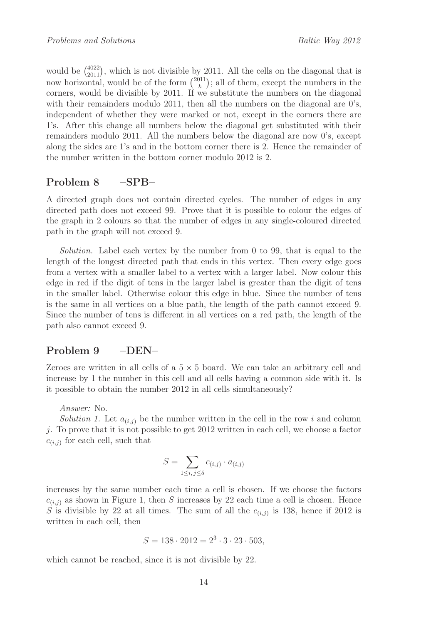would be  $\binom{4022}{2011}$ , which is not divisible by 2011. All the cells on the diagonal that is now horizontal, would be of the form  $\binom{2011}{k}$  $\binom{11}{k}$ ; all of them, except the numbers in the corners, would be divisible by 2011. If we substitute the numbers on the diagonal with their remainders modulo 2011, then all the numbers on the diagonal are 0's, independent of whether they were marked or not, except in the corners there are 1's. After this change all numbers below the diagonal get substituted with their remainders modulo 2011. All the numbers below the diagonal are now 0's, except along the sides are 1's and in the bottom corner there is 2. Hence the remainder of the number written in the bottom corner modulo 2012 is 2.

# Problem 8 –SPB–

A directed graph does not contain directed cycles. The number of edges in any directed path does not exceed 99. Prove that it is possible to colour the edges of the graph in 2 colours so that the number of edges in any single-coloured directed path in the graph will not exceed 9.

*Solution.* Label each vertex by the number from 0 to 99, that is equal to the length of the longest directed path that ends in this vertex. Then every edge goes from a vertex with a smaller label to a vertex with a larger label. Now colour this edge in red if the digit of tens in the larger label is greater than the digit of tens in the smaller label. Otherwise colour this edge in blue. Since the number of tens is the same in all vertices on a blue path, the length of the path cannot exceed 9. Since the number of tens is different in all vertices on a red path, the length of the path also cannot exceed 9.

# Problem 9 –DEN–

Zeroes are written in all cells of a  $5 \times 5$  board. We can take an arbitrary cell and increase by 1 the number in this cell and all cells having a common side with it. Is it possible to obtain the number 2012 in all cells simultaneously?

*Answer:* No.

*Solution 1.* Let  $a_{(i,j)}$  be the number written in the cell in the row i and column j. To prove that it is not possible to get  $2012$  written in each cell, we choose a factor  $c_{(i,j)}$  for each cell, such that

$$
S = \sum_{1 \le i, j \le 5} c_{(i,j)} \cdot a_{(i,j)}
$$

increases by the same number each time a cell is chosen. If we choose the factors  $c_{(i,j)}$  as shown in Figure 1, then S increases by 22 each time a cell is chosen. Hence S is divisible by 22 at all times. The sum of all the  $c_{(i,j)}$  is 138, hence if 2012 is written in each cell, then

$$
S = 138 \cdot 2012 = 2^3 \cdot 3 \cdot 23 \cdot 503,
$$

which cannot be reached, since it is not divisible by 22.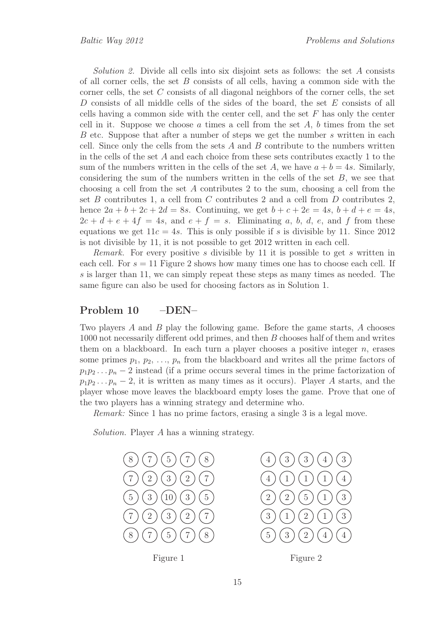*Solution 2.* Divide all cells into six disjoint sets as follows: the set A consists of all corner cells, the set  $B$  consists of all cells, having a common side with the corner cells, the set C consists of all diagonal neighbors of the corner cells, the set D consists of all middle cells of the sides of the board, the set E consists of all cells having a common side with the center cell, and the set  $F$  has only the center cell in it. Suppose we choose  $\alpha$  times a cell from the set  $A, b$  times from the set B etc. Suppose that after a number of steps we get the number s written in each cell. Since only the cells from the sets  $A$  and  $B$  contribute to the numbers written in the cells of the set  $A$  and each choice from these sets contributes exactly 1 to the sum of the numbers written in the cells of the set A, we have  $a + b = 4s$ . Similarly, considering the sum of the numbers written in the cells of the set  $B$ , we see that choosing a cell from the set A contributes 2 to the sum, choosing a cell from the set B contributes 1, a cell from C contributes 2 and a cell from D contributes 2, hence  $2a + b + 2c + 2d = 8s$ . Continuing, we get  $b + c + 2e = 4s$ ,  $b + d + e = 4s$ ,  $2c + d + e + 4f = 4s$ , and  $e + f = s$ . Eliminating a, b, d, e, and f from these equations we get  $11c = 4s$ . This is only possible if s is divisible by 11. Since 2012 is not divisible by 11, it is not possible to get 2012 written in each cell.

*Remark.* For every positive s divisible by 11 it is possible to get s written in each cell. For  $s = 11$  Figure 2 shows how many times one has to choose each cell. If s is larger than 11, we can simply repeat these steps as many times as needed. The same figure can also be used for choosing factors as in Solution 1.

### Problem 10 –DEN–

Two players A and B play the following game. Before the game starts, A chooses not necessarily different odd primes, and then B chooses half of them and writes them on a blackboard. In each turn a player chooses a positive integer n, erases some primes  $p_1, p_2, \ldots, p_n$  from the blackboard and writes all the prime factors of  $p_1p_2 \tldots p_n-2$  instead (if a prime occurs several times in the prime factorization of  $p_1p_2 \ldots p_n-2$ , it is written as many times as it occurs). Player A starts, and the player whose move leaves the blackboard empty loses the game. Prove that one of the two players has a winning strategy and determine who.

*Remark:* Since 1 has no prime factors, erasing a single 3 is a legal move.

*Solution.* Player A has a winning strategy.

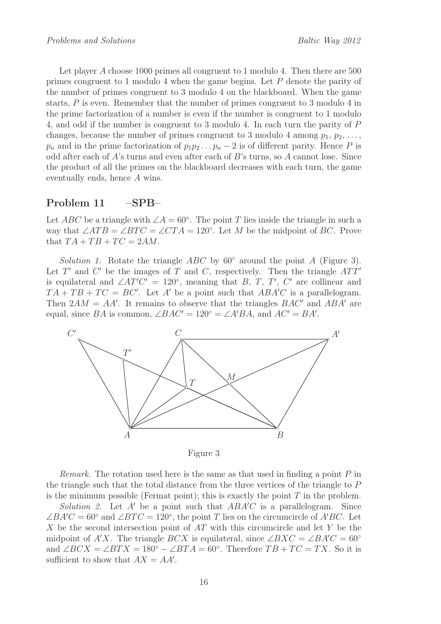Let player A choose 1000 primes all congruent to 1 modulo 4. Then there are 500 primes congruent to 1 modulo 4 when the game begins. Let P denote the parity of the number of primes congruent to 3 modulo 4 on the blackboard. When the game starts, P is even. Remember that the number of primes congruent to 3 modulo 4 in the prime factorization of a number is even if the number is congruent to 1 modulo 4, and odd if the number is congruent to 3 modulo 4. In each turn the parity of P changes, because the number of primes congruent to 3 modulo 4 among  $p_1, p_2, \ldots$ ,  $p_n$  and in the prime factorization of  $p_1p_2 \tldots p_n-2$  is of different parity. Hence P is odd after each of  $A$ 's turns and even after each of  $B$ 's turns, so  $A$  cannot lose. Since the product of all the primes on the blackboard decreases with each turn, the game eventually ends, hence A wins.

### Problem 11 –SPB–

Let ABC be a triangle with  $\angle A = 60^\circ$ . The point T lies inside the triangle in such a way that  $\angle ATB = \angle BTC = \angle CTA = 120^{\circ}$ . Let M be the midpoint of BC. Prove that  $TA + TB + TC = 2AM$ .

*Solution 1.* Rotate the triangle  $ABC$  by 60 $\degree$  around the point A (Figure 3). Let T' and C' be the images of T and C, respectively. Then the triangle  $ATT'$ is equilateral and  $\angle AT'C' = 120^{\circ}$ , meaning that B, T, T', C' are collinear and  $TA + TB + TC = BC'$ . Let A' be a point such that  $ABA'C$  is a parallelogram. Then  $2AM = AA'$ . It remains to observe that the triangles  $BAC'$  and  $ABA'$  are equal, since BA is common,  $\angle BAC' = 120^{\circ} = \angle A'BA$ , and  $AC' = BA'$ .



Figure 3

*Remark.* The rotation used here is the same as that used in finding a point P in the triangle such that the total distance from the three vertices of the triangle to P is the minimum possible (Fermat point); this is exactly the point  $T$  in the problem.

*Solution 2.* Let A' be a point such that  $ABA'C$  is a parallelogram. Since  $\angle BA'C = 60°$  and  $\angle BTC = 120°$ , the point T lies on the circumcircle of A'BC. Let X be the second intersection point of  $AT$  with this circumcircle and let Y be the midpoint of A'X. The triangle BCX is equilateral, since  $\angle BXC = \angle BA'C = 60°$ and  $\angle BCX = \angle BTX = 180^\circ - \angle BTA = 60^\circ$ . Therefore  $TB + TC = TX$ . So it is sufficient to show that  $AX = AA'$ .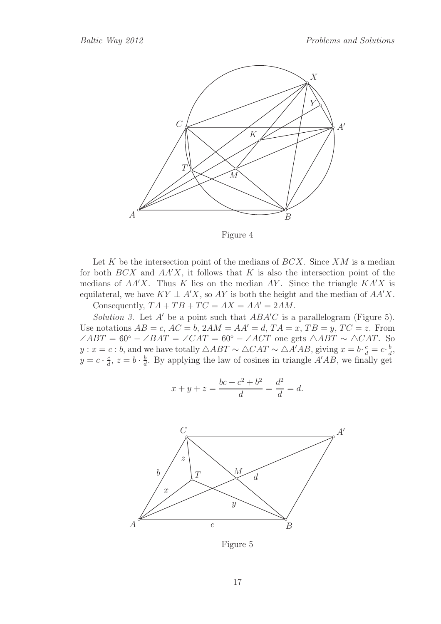

Figure 4

Let K be the intersection point of the medians of  $BCX$ . Since  $XM$  is a median for both  $BCX$  and  $AA'X$ , it follows that K is also the intersection point of the medians of  $AA'X$ . Thus K lies on the median AY. Since the triangle  $KA'X$  is equilateral, we have  $KY \perp A'X$ , so AY is both the height and the median of  $AA'X$ . Consequently,  $TA + TB + TC = AX = AA' = 2AM$ .

*Solution 3.* Let  $A'$  be a point such that  $ABA'C$  is a parallelogram (Figure 5). Use notations  $AB = c$ ,  $AC = b$ ,  $2AM = AA' = d$ ,  $TA = x$ ,  $TB = y$ ,  $TC = z$ . From ∠ABT = 60° – ∠BAT = ∠CAT = 60° – ∠ACT one gets ∆ABT ~ ∆CAT. So y :  $x = c : b$ , and we have totally  $\triangle ABT \sim \triangle CAT \sim \triangle A'AB$ , giving  $x = b \cdot \frac{c}{d} = c \cdot \frac{b}{d}$  $\frac{b}{d}$  $y = c \cdot \frac{c}{d}$  $\frac{c}{d}$ ,  $z = b \cdot \frac{b}{d}$  $\frac{b}{d}$ . By applying the law of cosines in triangle  $A'AB$ , we finally get

$$
x + y + z = \frac{bc + c^2 + b^2}{d} = \frac{d^2}{d} = d.
$$



Figure 5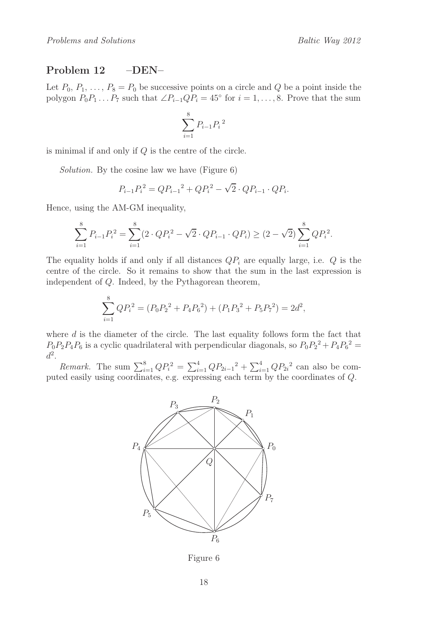### Problem 12 –DEN–

Let  $P_0, P_1, \ldots, P_8 = P_0$  be successive points on a circle and Q be a point inside the polygon  $P_0P_1 \ldots P_7$  such that  $\angle P_{i-1}QP_i = 45^\circ$  for  $i = 1, \ldots, 8$ . Prove that the sum

$$
\sum_{i=1}^{8} P_{i-1} P_i^2
$$

is minimal if and only if Q is the centre of the circle.

*Solution.* By the cosine law we have (Figure 6)

$$
P_{i-1}P_i^2 = QP_{i-1}^2 + QP_i^2 - \sqrt{2} \cdot QP_{i-1} \cdot QP_i.
$$

Hence, using the AM-GM inequality,

$$
\sum_{i=1}^{8} P_{i-1} P_i^2 = \sum_{i=1}^{8} (2 \cdot Q P_i^2 - \sqrt{2} \cdot Q P_{i-1} \cdot Q P_i) \ge (2 - \sqrt{2}) \sum_{i=1}^{8} Q P_i^2.
$$

The equality holds if and only if all distances  $QP_i$  are equally large, i.e.  $Q$  is the centre of the circle. So it remains to show that the sum in the last expression is independent of Q. Indeed, by the Pythagorean theorem,

$$
\sum_{i=1}^{8} Q P_i^2 = (P_0 P_2^2 + P_4 P_6^2) + (P_1 P_3^2 + P_5 P_7^2) = 2d^2,
$$

where d is the diameter of the circle. The last equality follows form the fact that  $P_0P_2P_4P_6$  is a cyclic quadrilateral with perpendicular diagonals, so  $P_0P_2^2 + P_4P_6^2 =$  $d^2$ .

*Remark.* The sum  $\sum_{i=1}^{8} Q P_i^2 = \sum_{i=1}^{4} Q P_{2i-1}^2 + \sum_{i=1}^{4} Q P_{2i}^2$  can also be computed easily using coordinates, e.g. expressing each term by the coordinates of Q.



Figure 6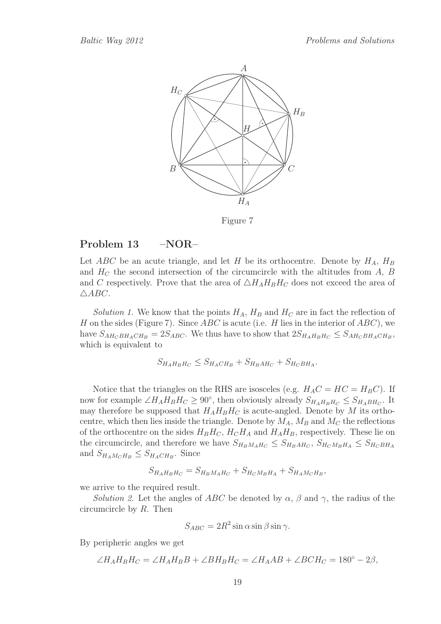

Figure 7

#### Problem 13 – NOR–

Let ABC be an acute triangle, and let H be its orthocentre. Denote by  $H_A$ ,  $H_B$ and  $H_C$  the second intersection of the circumcircle with the altitudes from A, B and C respectively. Prove that the area of  $\triangle H_A H_B H_C$  does not exceed the area of  $\triangle ABC$ .

*Solution 1.* We know that the points  $H_A$ ,  $H_B$  and  $H_C$  are in fact the reflection of H on the sides (Figure 7). Since  $ABC$  is acute (i.e. H lies in the interior of  $ABC$ ), we have  $S_{AH_CBH_ACH_B} = 2S_{ABC}$ . We thus have to show that  $2S_{H_AH_BH_C} \leq S_{AH_CBH_ACH_B}$ , which is equivalent to

$$
S_{H_A H_B H_C} \leq S_{H_A CH_B} + S_{H_B A H_C} + S_{H_C B H_A}.
$$

Notice that the triangles on the RHS are isosceles (e.g.  $H_A C = H C = H_B C$ ). If now for example  $\angle H_A H_B H_C \geq 90^\circ$ , then obviously already  $S_{H_A H_B H_C} \leq S_{H_A B H_C}$ . It may therefore be supposed that  $H_A H_B H_C$  is acute-angled. Denote by M its orthocentre, which then lies inside the triangle. Denote by  $M_A$ ,  $M_B$  and  $M_C$  the reflections of the orthocentre on the sides  $H_B H_C$ ,  $H_C H_A$  and  $H_A H_B$ , respectively. These lie on the circumcircle, and therefore we have  $S_{H_B M_A H_C} \leq S_{H_B A H_C}$ ,  $S_{H_C M_B H_A} \leq S_{H_C B H_A}$ and  $S_{H_A M_C H_B} \leq S_{H_A CH_B}$ . Since

$$
S_{H_A H_B H_C} = S_{H_B M_A H_C} + S_{H_C M_B H_A} + S_{H_A M_C H_B},
$$

we arrive to the required result.

*Solution 2.* Let the angles of ABC be denoted by  $\alpha$ ,  $\beta$  and  $\gamma$ , the radius of the circumcircle by R. Then

$$
S_{ABC} = 2R^2 \sin \alpha \sin \beta \sin \gamma.
$$

By peripheric angles we get

$$
\angle H_A H_B H_C = \angle H_A H_B B + \angle B H_B H_C = \angle H_A AB + \angle BCH_C = 180^\circ - 2\beta,
$$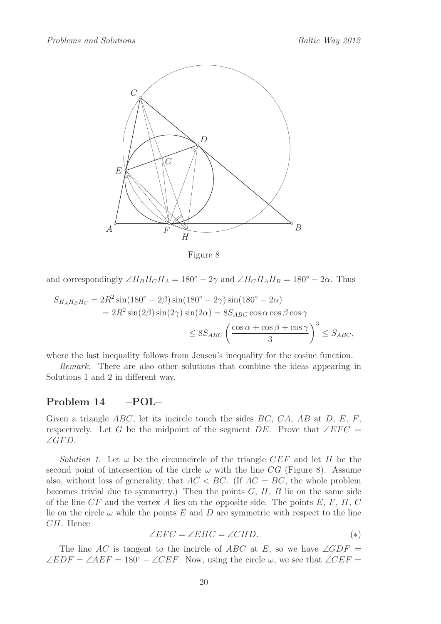

Figure 8

and correspondingly  $\angle H_B H_C H_A = 180^\circ - 2\gamma$  and  $\angle H_C H_A H_B = 180^\circ - 2\alpha$ . Thus

$$
S_{H_A H_B H_C} = 2R^2 \sin(180^\circ - 2\beta) \sin(180^\circ - 2\gamma) \sin(180^\circ - 2\alpha)
$$
  
=  $2R^2 \sin(2\beta) \sin(2\gamma) \sin(2\alpha) = 8S_{ABC} \cos \alpha \cos \beta \cos \gamma$   
 $\leq 8S_{ABC} \left(\frac{\cos \alpha + \cos \beta + \cos \gamma}{3}\right)^3 \leq S_{ABC},$ 

where the last inequality follows from Jensen's inequality for the cosine function.

*Remark.* There are also other solutions that combine the ideas appearing in Solutions 1 and 2 in different way.

#### Problem 14 –POL–

Given a triangle  $ABC$ , let its incircle touch the sides  $BC$ ,  $CA$ ,  $AB$  at  $D$ ,  $E$ ,  $F$ , respectively. Let G be the midpoint of the segment DE. Prove that  $\angle EFC =$ ∠ $GFD$ .

*Solution 1.* Let  $\omega$  be the circumcircle of the triangle CEF and let H be the second point of intersection of the circle  $\omega$  with the line CG (Figure 8). Assume also, without loss of generality, that  $AC < BC$ . (If  $AC = BC$ , the whole problem becomes trivial due to symmetry.) Then the points  $G, H, B$  lie on the same side of the line  $CF$  and the vertex A lies on the opposite side. The points  $E, F, H, C$ lie on the circle  $\omega$  while the points E and D are symmetric with respect to the line CH. Hence

$$
\angle EFC = \angle EHC = \angle CHD. \tag{*}
$$

The line AC is tangent to the incircle of ABC at E, so we have  $\angle GDF =$  $\angle EDF = \angle AEF = 180^{\circ} - \angle CEF$ . Now, using the circle  $\omega$ , we see that  $\angle CEF =$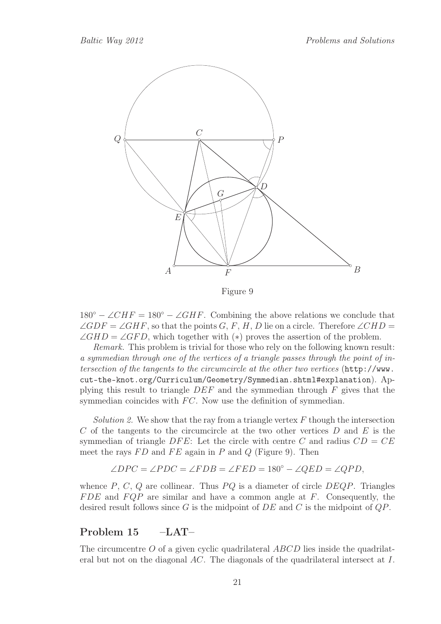

Figure 9

 $180° - \angle CHF = 180° - \angle GHF$ . Combining the above relations we conclude that  $\angle GDF = \angle GHF$ , so that the points G, F, H, D lie on a circle. Therefore  $\angle CHD =$  $\angle GHD = \angle GFD$ , which together with (\*) proves the assertion of the problem.

*Remark.* This problem is trivial for those who rely on the following known result: *a symmedian through one of the vertices of a triangle passes through the point of intersection of the tangents to the circumcircle at the other two vertices* (http://www. cut-the-knot.org/Curriculum/Geometry/Symmedian.shtml#explanation). Applying this result to triangle DEF and the symmedian through F gives that the symmedian coincides with  $FC$ . Now use the definition of symmedian.

*Solution 2.* We show that the ray from a triangle vertex  $F$  though the intersection C of the tangents to the circumcircle at the two other vertices  $D$  and  $E$  is the symmedian of triangle DFE: Let the circle with centre C and radius  $CD = CE$ meet the rays  $FD$  and  $FE$  again in P and Q (Figure 9). Then

$$
\angle DPC = \angle PDC = \angle FDB = \angle FED = 180^{\circ} - \angle QED = \angle QPD,
$$

whence  $P, C, Q$  are collinear. Thus  $PQ$  is a diameter of circle  $DEQP$ . Triangles  $FDE$  and  $FQP$  are similar and have a common angle at F. Consequently, the desired result follows since G is the midpoint of  $DE$  and C is the midpoint of  $QP$ .

### Problem 15 –LAT–

The circumcentre  $O$  of a given cyclic quadrilateral  $ABCD$  lies inside the quadrilateral but not on the diagonal AC. The diagonals of the quadrilateral intersect at I.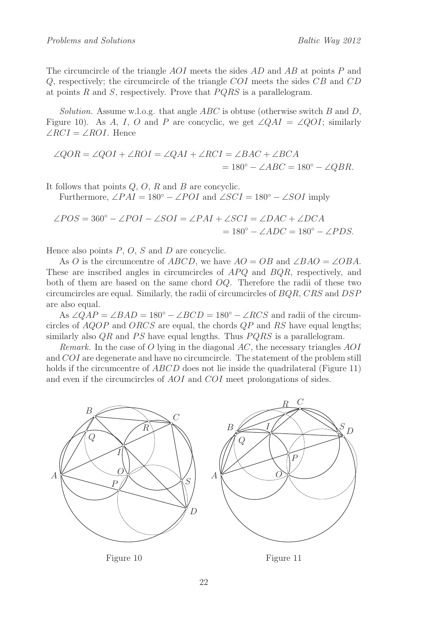The circumcircle of the triangle AOI meets the sides AD and AB at points P and  $Q$ , respectively; the circumcircle of the triangle COI meets the sides CB and CD at points R and S, respectively. Prove that  $PQRS$  is a parallelogram.

*Solution.* Assume w.l.o.g. that angle ABC is obtuse (otherwise switch B and D, Figure 10). As A, I, O and P are concyclic, we get  $\angle QAI = \angle QOI$ ; similarly  $\angle RCI = \angle ROI$ . Hence

$$
\angle QOR = \angle QOI + \angle ROI = \angle QAI + \angle RCI = \angle BAC + \angle BCA
$$
  
= 180<sup>°</sup> - \angle ABC = 180<sup>°</sup> - \angle QBR.

It follows that points  $Q, O, R$  and  $B$  are concyclic.

Furthermore,  $\angle PAI = 180^{\circ} - \angle POI$  and  $\angle SCI = 180^{\circ} - \angle SOI$  imply

$$
\angle POS = 360^{\circ} - \angle POI - \angle SOI = \angle PAI + \angle SCI = \angle DAC + \angle DCA
$$
  
= 180^{\circ} - \angle ADC = 180^{\circ} - \angle PDS.

Hence also points  $P$ ,  $O$ ,  $S$  and  $D$  are concyclic.

As O is the circumcentre of ABCD, we have  $AO = OB$  and  $\angle BAO = \angle OBA$ . These are inscribed angles in circumcircles of  $APQ$  and  $BQR$ , respectively, and both of them are based on the same chord  $OQ$ . Therefore the radii of these two circumcircles are equal. Similarly, the radii of circumcircles of BQR, CRS and DSP are also equal.

As  $\angle QAP = \angle BAD = 180^\circ - \angle BCD = 180^\circ - \angle RCS$  and radii of the circumcircles of  $AQOP$  and  $ORCS$  are equal, the chords  $QP$  and RS have equal lengths; similarly also  $QR$  and  $PS$  have equal lengths. Thus  $PQRS$  is a parallelogram.

*Remark.* In the case of O lying in the diagonal AC, the necessary triangles AOI and COI are degenerate and have no circumcircle. The statement of the problem still holds if the circumcentre of *ABCD* does not lie inside the quadrilateral (Figure 11) and even if the circumcircles of AOI and COI meet prolongations of sides.



Figure 10

Figure 11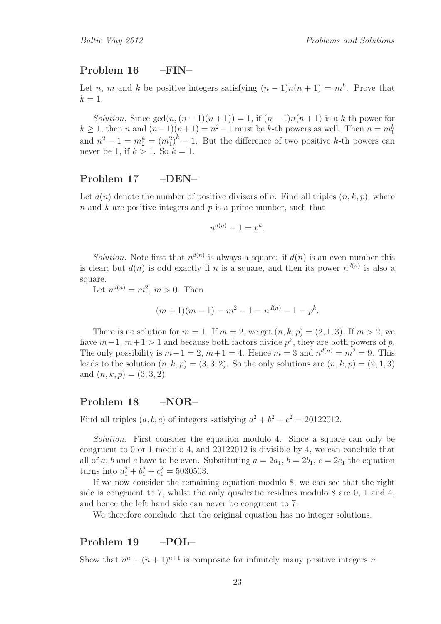### Problem 16 –FIN–

Let *n*, *m* and *k* be positive integers satisfying  $(n-1)n(n+1) = m^k$ . Prove that  $k=1$ .

*Solution.* Since  $gcd(n,(n-1)(n+1)) = 1$ , if  $(n-1)n(n+1)$  is a k-th power for  $k \geq 1$ , then n and  $(n-1)(n+1) = n^2-1$  must be k-th powers as well. Then  $n = m_1^k$ and  $n^2 - 1 = m_2^k = (m_1^2)^k - 1$ . But the difference of two positive k-th powers can never be 1, if  $k > 1$ . So  $k = 1$ .

### Problem 17 –DEN–

Let  $d(n)$  denote the number of positive divisors of n. Find all triples  $(n, k, p)$ , where n and k are positive integers and p is a prime number, such that

$$
n^{d(n)} - 1 = p^k.
$$

*Solution*. Note first that  $n^{d(n)}$  is always a square: if  $d(n)$  is an even number this is clear; but  $d(n)$  is odd exactly if n is a square, and then its power  $n^{d(n)}$  is also a square.

Let  $n^{d(n)} = m^2$ ,  $m > 0$ . Then

$$
(m+1)(m-1) = m2 - 1 = nd(n) - 1 = pk.
$$

There is no solution for  $m = 1$ . If  $m = 2$ , we get  $(n, k, p) = (2, 1, 3)$ . If  $m > 2$ , we have  $m-1$ ,  $m+1 > 1$  and because both factors divide  $p^k$ , they are both powers of p. The only possibility is  $m-1=2$ ,  $m+1=4$ . Hence  $m=3$  and  $n^{d(n)}=m^2=9$ . This leads to the solution  $(n, k, p) = (3, 3, 2)$ . So the only solutions are  $(n, k, p) = (2, 1, 3)$ and  $(n, k, p) = (3, 3, 2)$ .

# Problem 18 –NOR–

Find all triples  $(a, b, c)$  of integers satisfying  $a^2 + b^2 + c^2 = 20122012$ .

*Solution.* First consider the equation modulo 4. Since a square can only be congruent to 0 or 1 modulo 4, and 20122012 is divisible by 4, we can conclude that all of a, b and c have to be even. Substituting  $a = 2a_1$ ,  $b = 2b_1$ ,  $c = 2c_1$  the equation turns into  $a_1^2 + b_1^2 + c_1^2 = 5030503$ .

If we now consider the remaining equation modulo 8, we can see that the right side is congruent to 7, whilst the only quadratic residues modulo 8 are 0, 1 and 4, and hence the left hand side can never be congruent to 7.

We therefore conclude that the original equation has no integer solutions.

### Problem 19 –POL–

Show that  $n^{n} + (n+1)^{n+1}$  is composite for infinitely many positive integers n.